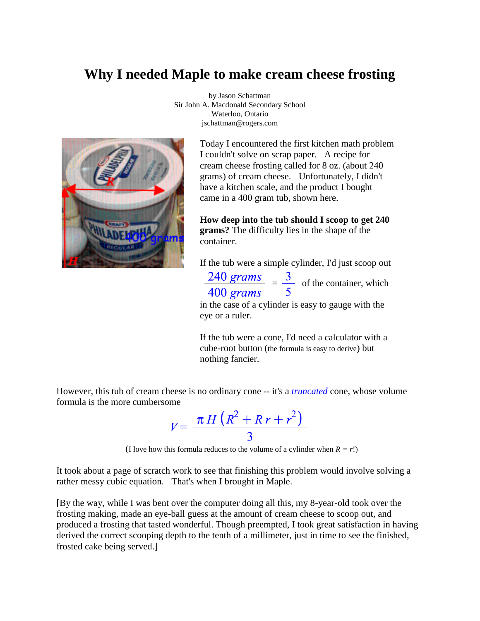### **Why I needed Maple to make cream cheese frosting**



by Jason Schattman Sir John A. Macdonald Secondary School Waterloo, Ontario jschattman@rogers.com

> Today I encountered the first kitchen math problem I couldn't solve on scrap paper. A recipe for cream cheese frosting called for 8 oz. (about 240 grams) of cream cheese. Unfortunately, I didn't have a kitchen scale, and the product I bought came in a 400 gram tub, shown here.

**How deep into the tub should I scoop to get 240 grams?** The difficulty lies in the shape of the container.

If the tub were a simple cylinder, I'd just scoop out

 $\frac{240 \text{ grams}}{400 \text{ grams}} = \frac{3}{5}$  of the container, which

in the case of a cylinder is easy to gauge with the eye or a ruler.

If the tub were a cone, I'd need a calculator with a cube-root button (the formula is easy to derive) but nothing fancier.

However, this tub of cream cheese is no ordinary cone -- it's a *truncated* cone, whose volume formula is the more cumbersome

$$
V = \frac{\pi H \left(R^2 + R r + r^2\right)}{3}
$$

(I love how this formula reduces to the volume of a cylinder when  $R = r!$ )

It took about a page of scratch work to see that finishing this problem would involve solving a rather messy cubic equation. That's when I brought in Maple.

[By the way, while I was bent over the computer doing all this, my 8-year-old took over the frosting making, made an eye-ball guess at the amount of cream cheese to scoop out, and produced a frosting that tasted wonderful. Though preempted, I took great satisfaction in having derived the correct scooping depth to the tenth of a millimeter, just in time to see the finished, frosted cake being served.]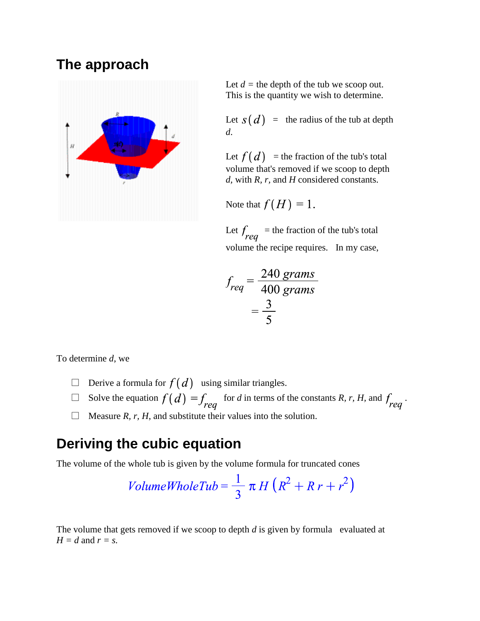## **The approach**



Let  $d =$  the depth of the tub we scoop out. This is the quantity we wish to determine.

Let  $s(d)$  = the radius of the tub at depth *d*.

Let  $f(d)$  = the fraction of the tub's total volume that's removed if we scoop to depth *d,* with *R, r,* and *H* considered constants.

Note that  $f(H) = 1$ .

Let  $f_{req}$  = the fraction of the tub's total volume the recipe requires. In my case,

$$
f_{req} = \frac{240 \text{ grams}}{400 \text{ grams}}
$$

$$
= \frac{3}{5}
$$

To determine *d*, we

- $\Box$  Derive a formula for  $f(d)$  using similar triangles.
- Solve the equation  $f(d) = f_{req}$  for *d* in terms of the constants *R, r, H,* and  $f_{req}$ .

 $\Box$  Measure *R, r, H,* and substitute their values into the solution.

### **Deriving the cubic equation**

The volume of the whole tub is given by the volume formula for truncated cones

$$
VolumeWholeTub = \frac{1}{3} \pi H (R^2 + R r + r^2)
$$

The volume that gets removed if we scoop to depth *d* is given by formula evaluated at  $H = d$  and  $r = s$ .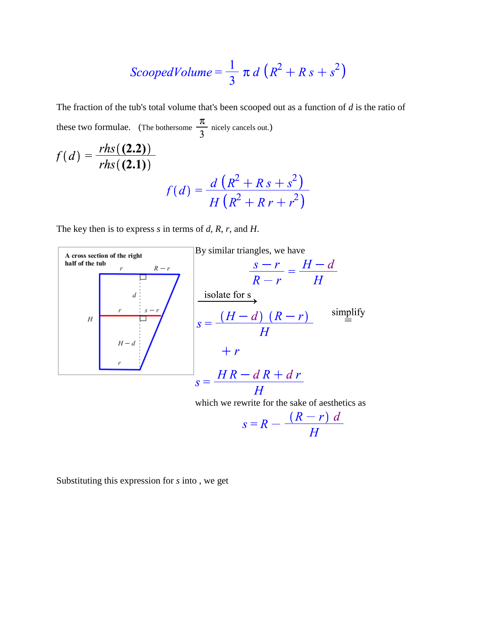$$
ScoopedVolume = \frac{1}{3} \pi d \left( R^2 + R s + s^2 \right)
$$

The fraction of the tub's total volume that's been scooped out as a function of *d* is the ratio of these two formulae. (The bothersome  $\frac{\pi}{3}$  nicely cancels out.)

$$
f(d) = \frac{rhs(2.2))}{rhs(2.1)}
$$
  

$$
f(d) = \frac{d(R^{2} + Rs + s^{2})}{H(R^{2} + R r + r^{2})}
$$

The key then is to express *s* in terms of *d, R, r,* and *H*.



Substituting this expression for *s* into , we get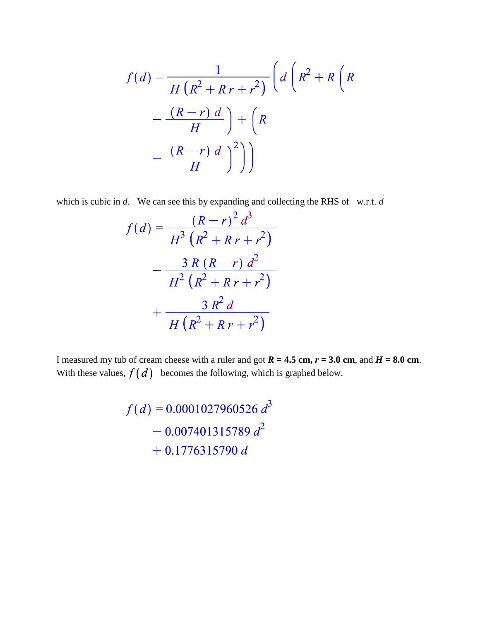$$
f(d) = \frac{1}{H(R^2 + R r + r^2)} \left( d \left( R^2 + R \left( R \frac{R-r}{H} \right) \right) + R \left( R \frac{R-r}{H} \right) \right)
$$

$$
= \frac{(R-r) d}{H} \left( \frac{R}{H} \right)^2 \left( \frac{R-r}{H} \right)^2 \left( \frac{R-r}{H} \right)^2 \left( \frac{R-r}{H} \right)^2 \left( \frac{R-r}{H} \right)^2 \left( \frac{R-r}{H} \right)^2 \left( \frac{R-r}{H} \right)^2 \left( \frac{R-r}{H} \right)^2 \left( \frac{R-r}{H} \right)^2 \left( \frac{R-r}{H} \right)^2 \left( \frac{R-r}{H} \right)^2 \left( \frac{R-r}{H} \right)^2 \left( \frac{R-r}{H} \right)^2 \left( \frac{R-r}{H} \right)^2 \left( \frac{R-r}{H} \right)^2 \left( \frac{R-r}{H} \right)^2 \left( \frac{R-r}{H} \right)^2 \left( \frac{R-r}{H} \right)^2 \left( \frac{R-r}{H} \right)^2 \left( \frac{R-r}{H} \right)^2 \left( \frac{R-r}{H} \right)^2 \left( \frac{R-r}{H} \right)^2 \left( \frac{R-r}{H} \right)^2 \left( \frac{R-r}{H} \right)^2 \left( \frac{R-r}{H} \right)^2 \left( \frac{R-r}{H} \right)^2 \left( \frac{R-r}{H} \right)^2 \left( \frac{R-r}{H} \right)^2 \left( \frac{R-r}{H} \right)^2 \left( \frac{R-r}{H} \right)^2 \left( \frac{R-r}{H} \right)^2 \left( \frac{R-r}{H} \right)^2 \left( \frac{R-r}{H} \right)^2 \left( \frac{R-r}{H} \right)^2 \left( \frac{R-r}{H} \right)^2 \left( \frac{R-r}{H} \right)^2 \left( \frac{R-r}{H} \right)^2 \left( \frac{R-r}{H} \right)^2 \left( \frac{R-r}{H} \right)^2 \left( \frac{R-r}{H} \right)^2 \left( \frac{R-r}{H} \right)^2 \left( \frac{R-r}{H} \right)^2 \left( \frac{R-r}{H} \right)^2 \left( \frac{R-r}{H} \right)^2 \left( \frac{R-r}{H}
$$

which is cubic in *d*. We can see this by expanding and collecting the RHS of w.r.t. *d* 

$$
f(d) = \frac{(R-r)^2 d^3}{H^3 (R^2 + R r + r^2)}
$$

$$
- \frac{3 R (R-r) d^2}{H^2 (R^2 + R r + r^2)}
$$

$$
+ \frac{3 R^2 d}{H (R^2 + R r + r^2)}
$$

I measured my tub of cream cheese with a ruler and got  $R = 4.5$  cm,  $r = 3.0$  cm, and  $H = 8.0$  cm. With these values,  $f(d)$  becomes the following, which is graphed below.

$$
f(d) = 0.0001027960526 d3
$$
  
- 0.007401315789 d<sup>2</sup>  
+ 0.1776315790 d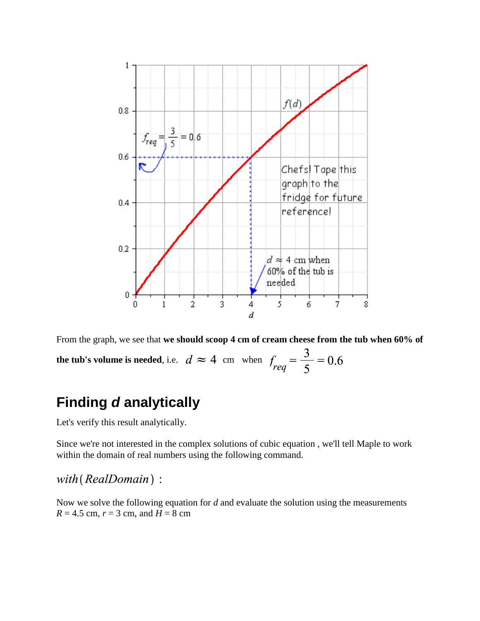

From the graph, we see that **we should scoop 4 cm of cream cheese from the tub when 60% of the tub's volume is needed**, i.e.  $d \approx 4$  cm when  $f_{req} = \frac{3}{5} = 0.6$ 

# **Finding** *d* **analytically**

Let's verify this result analytically.

Since we're not interested in the complex solutions of cubic equation , we'll tell Maple to work within the domain of real numbers using the following command.

with (RealDomain):

Now we solve the following equation for *d* and evaluate the solution using the measurements  $R = 4.5$  cm,  $r = 3$  cm, and  $H = 8$  cm